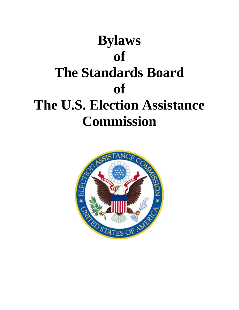

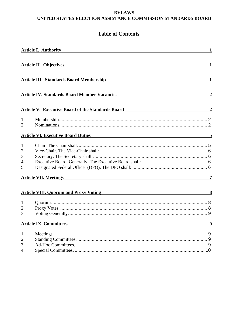#### **BYLAWS UNITED STATES ELECTION ASSISTANCE COMMISSION STANDARDS BOARD**

# **Table of Contents**

| <b>Article I. Authority</b> |                                                                                         | $\mathbf{1}$   |
|-----------------------------|-----------------------------------------------------------------------------------------|----------------|
|                             |                                                                                         |                |
|                             | <b>Article II. Objectives</b>                                                           | $\mathbf{1}$   |
|                             |                                                                                         |                |
|                             | <b>Article III. Standards Board Membership</b>                                          | $\mathbf{1}$   |
|                             |                                                                                         |                |
|                             |                                                                                         |                |
|                             | <b>Article IV. Standards Board Member Vacancies</b>                                     | $\overline{2}$ |
|                             |                                                                                         |                |
|                             | <b>Article V. Executive Board of the Standards Board</b>                                | $\overline{2}$ |
| 1.                          |                                                                                         |                |
| 2.                          |                                                                                         |                |
|                             |                                                                                         |                |
|                             | <b>Article VI. Executive Board Duties Article 10 Article VI. Executive Board Duties</b> | - 5            |
| 1.                          |                                                                                         |                |
| 2.                          |                                                                                         |                |
| 3.                          |                                                                                         |                |
| 4.                          |                                                                                         |                |
| 5.                          |                                                                                         |                |
|                             | <b>Article VII. Meetings</b>                                                            | 7              |
|                             |                                                                                         |                |
|                             | <b>Article VIII. Quorum and Proxy Voting</b>                                            | 8              |
|                             |                                                                                         |                |
| 1.                          |                                                                                         |                |
| 2.                          |                                                                                         |                |
| 3.                          |                                                                                         |                |
|                             | Article IX. Committees 9                                                                |                |
| 1.                          |                                                                                         |                |
| 2.                          |                                                                                         |                |
| 3.                          |                                                                                         |                |
| 4.                          |                                                                                         |                |
|                             |                                                                                         |                |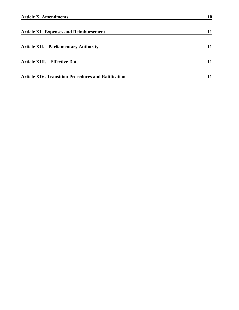| <b>Article XI. Expenses and Reimbursement</b>              |  |
|------------------------------------------------------------|--|
| <b>Article XII. Parliamentary Authority</b>                |  |
| <b>Article XIII.</b> Effective Date                        |  |
| <b>Article XIV. Transition Procedures and Ratification</b> |  |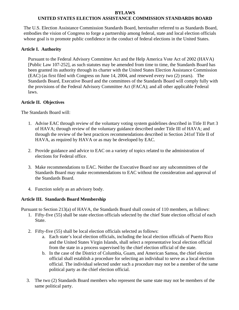# **BYLAWS**

# **UNITED STATES ELECTION ASSISTANCE COMMISSION STANDARDS BOARD**

The U.S. Election Assistance Commission Standards Board, hereinafter referred to as Standards Board, embodies the vision of Congress to forge a partnership among federal, state and local election officials whose goal is to promote public confidence in the conduct of federal elections in the United States.

### <span id="page-4-0"></span>**Article I. Authority**

Pursuant to the Federal Advisory Committee Act and the Help America Vote Act of 2002 (HAVA) [Public Law 107-252], as such statutes may be amended from time to time, the Standards Board has been granted its authority through its charter with the United States Election Assistance Commission (EAC) (as first filed with Congress on June 14, 2004, and renewed every two (2) years). The Standards Board, Executive Board and the committees of the Standards Board will comply fully with the provisions of the Federal Advisory Committee Act (FACA); and all other applicable Federal laws.

### **Article II. Objectives**

The Standards Board will:

- 1. Advise EAC through review of the voluntary voting system guidelines described in Title II Part 3 of HAVA; through review of the voluntary guidance described under Title III of HAVA; and through the review of the best practices recommendations described in Section 241of Title II of HAVA, as required by HAVA or as may be developed by EAC.
- 2. Provide guidance and advice to EAC on a variety of topics related to the administration of elections for Federal office.
- 3. Make recommendations to EAC. Neither the Executive Board nor any subcommittees of the Standards Board may make recommendations to EAC without the consideration and approval of the Standards Board.
- 4. Function solely as an advisory body.

### <span id="page-4-1"></span>**Article III. Standards Board Membership**

Pursuant to Section 213(a) of HAVA, the Standards Board shall consist of 110 members, as follows:

- 1. Fifty-five (55) shall be state election officials selected by the chief State election official of each State.
- 2. Fifty-five (55) shall be local election officials selected as follows:
	- a. Each state's local election officials, including the local election officials of Puerto Rico and the United States Virgin Islands, shall select a representative local election official from the state in a process supervised by the chief election official of the state.
	- b. In the case of the District of Columbia, Guam, and American Samoa, the chief election official shall establish a procedure for selecting an individual to serve as a local election official. The individual selected under such a procedure may not be a member of the same political party as the chief election official.
- 3. The two (2) Standards Board members who represent the same state may not be members of the same political party.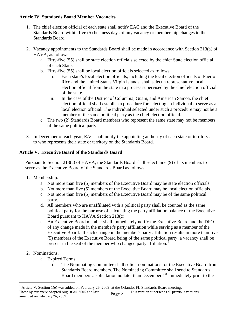### <span id="page-5-0"></span>**Article IV. Standards Board Member Vacancies**

- 1. The chief election official of each state shall notify EAC and the Executive Board of the Standards Board within five (5) business days of any vacancy or membership changes to the Standards Board.
- 2. Vacancy appointments to the Standards Board shall be made in accordance with Section 213(a) of HAVA, as follows:
	- a. Fifty-five (55) shall be state election officials selected by the chief State election official of each State.
	- b. Fifty-five (55) shall be local election officials selected as follows:
		- i. Each state's local election officials, including the local election officials of Puerto Rico and the United States Virgin Islands, shall select a representative local election official from the state in a process supervised by the chief election official of the state.
		- ii. In the case of the District of Columbia, Guam, and American Samoa, the chief election official shall establish a procedure for selecting an individual to serve as a local election official. The individual selected under such a procedure may not be a member of the same political party as the chief election official.
	- c. The two (2) Standards Board members who represent the same state may not be members of the same political party.
- 3. In December of each year, EAC shall notify the appointing authority of each state or territory as to who represents their state or territory on the Standards Board.

# <span id="page-5-1"></span>**Article V. Executive Board of the Standards Board**

Pursuant to Section 213(c) of HAVA, the Standards Board shall select nine (9) of its members to serve as the Executive Board of the Standards Board as follows:

- <span id="page-5-2"></span>1. Membership.
	- a. Not more than five (5) members of the Executive Board may be state election officials.
	- b. Not more than five (5) members of the Executive Board may be local election officials.
	- c. Not more than five (5) members of the Executive Board may be of the same political party.
	- d. All members who are unaffiliated with a political party shall be counted as the same political party for the purpose of calculating the party affiliation balance of the Executive Board pursuant to HAVA Section 213(c)
	- e. An Executive Board member shall immediately notify the Executive Board and the DFO of any change made in the member's party affiliation while serving as a member of the Executive Board. If such change in the member's party affiliation results in more than five (5) members of the Executive Board being of the same political party, a vacancy shall be present in the seat of the member who changed party affiliation.<sup>[1](#page-5-4)</sup>
- <span id="page-5-3"></span>2. Nominations.

l

- a. Expired Terms.
	- i. The Nominating Committee shall solicit nominations for the Executive Board from Standards Board members. The Nominating Committee shall send to Standards Board members a solicitation no later than December  $1<sup>st</sup>$  immediately prior to the

<span id="page-5-4"></span><sup>1</sup> Article V, Section 1(e) was added on February 26, 2009, at the Orlando, FL Standards Board meeting.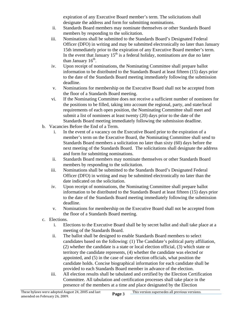expiration of any Executive Board member's term. The solicitations shall designate the address and form for submitting nominations.

- ii. Standards Board members may nominate themselves or other Standards Board members by responding to the solicitation.
- iii. Nominations shall be submitted to the Standards Board's Designated Federal Officer (DFO) in writing and may be submitted electronically no later than January 15th immediately prior to the expiration of any Executive Board member's term. In the event that January  $15<sup>th</sup>$  is a federal holiday, nominations are due no later than January  $16<sup>th</sup>$ .
- iv. Upon receipt of nominations, the Nominating Committee shall prepare ballot information to be distributed to the Standards Board at least fifteen (15) days prior to the date of the Standards Board meeting immediately following the submission deadline.
- v. Nominations for membership on the Executive Board shall not be accepted from the floor of a Standards Board meeting.
- vi. If the Nominating Committee does not receive a sufficient number of nominees for the positions to be filled, taking into account the regional, party, and state/local requirements of each open position, the Nominating Committee shall meet and submit a list of nominees at least twenty (20) days prior to the date of the Standards Board meeting immediately following the submission deadline.
- b. Vacancies Before the End of a Term.
	- i. In the event of a vacancy on the Executive Board prior to the expiration of a member's term on the Executive Board, the Nominating Committee shall send to Standards Board members a solicitation no later than sixty (60) days before the next meeting of the Standards Board. The solicitations shall designate the address and form for submitting nominations.
	- ii. Standards Board members may nominate themselves or other Standards Board members by responding to the solicitation.
	- iii. Nominations shall be submitted to the Standards Board's Designated Federal Officer (DFO) in writing and may be submitted electronically no later than the date indicated on the solicitation.
	- iv. Upon receipt of nominations, the Nominating Committee shall prepare ballot information to be distributed to the Standards Board at least fifteen (15) days prior to the date of the Standards Board meeting immediately following the submission deadline.
	- v. Nominations for membership on the Executive Board shall not be accepted from the floor of a Standards Board meeting.
- c. Elections.
	- i. Elections to the Executive Board shall be by secret ballot and shall take place at a meeting of the Standards Board.
	- ii. The ballot shall be designed to enable Standards Board members to select candidates based on the following: (1) The Candidate's political party affiliation, (2) whether the candidate is a state or local election official, (3) which state or territory the candidate represents, (4) whether the candidate was elected or appointed, and (5) in the case of state election officials, what position the candidate holds. Concise biographical information for each candidate shall be provided to each Standards Board member in advance of the election.
	- iii. All election results shall be tabulated and certified by the Election Certification Committee. All tabulation and certification processes shall take place in the presence of the members at a time and place designated by the Election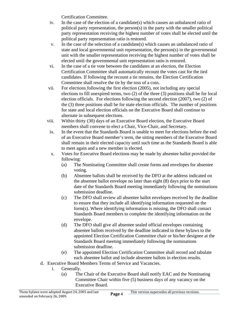Certification Committee.

- iv. In the case of the election of a candidate(s) which causes an unbalanced ratio of political party representation, the person(s) in the party with the smaller political party representation receiving the highest number of votes shall be elected until the political party representation ratio is restored.
- v. In the case of the selection of a candidate(s) which causes an unbalanced ratio of state and local governmental unit representation, the person(s) in the governmental unit with the smaller representation receiving the highest number of votes shall be elected until the governmental unit representation ratio is restored.
- vi. In the case of a tie vote between the candidates at an election, the Election Certification Committee shall automatically recount the votes cast for the tied candidates. If following the recount a tie remains, the Election Certification Committee shall resolve the tie by the toss of a coin.
- vii. For elections following the first election (2005), not including any special elections to fill unexpired terms, two (2) of the three (3) positions shall be for local election officials. For elections following the second election (2007), two (2) of the (3) three positions shall be for state election officials. The number of positions for state and local election officials on the Executive Board shall continue to alternate in subsequent elections.
- viii. Within thirty (30) days of an Executive Board election, the Executive Board members shall convene to elect a Chair, Vice-Chair, and Secretary.
- ix. In the event that the Standards Board is unable to meet for elections before the end of an Executive Board member's term, the sitting members of the Executive Board shall remain in their elected capacity until such time as the Standards Board is able to meet again and a new member is elected.
- x. Votes for Executive Board elections may be made by absentee ballot provided the following:
	- (a) The Nominating Committee shall create forms and envelopes for absentee voting.
	- (b) Absentee ballots shall be received by the DFO at the address indicated on the absentee ballot envelope no later than eight (8) days prior to the start date of the Standards Board meeting immediately following the nominations submission deadline.
	- (c) The DFO shall review all absentee ballot envelopes received by the deadline to ensure that they include all identifying information requested on the form(s). Where identifying information is missing, the DFO shall contact Standards Board members to complete the identifying information on the envelope.
	- (d) The DFO shall give all absentee sealed official envelopes containing absentee ballots received by the deadline indicated in these bylaws to the appointed Election Certification Committee chair or his/her designee at the Standards Board meeting immediately following the nominations submission deadline.
	- (e) The appointed Election Certification Committee shall record and tabulate each absentee ballot and include absentee ballots in election results.
- d. Executive Board Members Terms of Service and Vacancies.
	- i. Generally.
		- (a) The Chair of the Executive Board shall notify EAC and the Nominating Committee Chair within five (5) business days of any vacancy on the Executive Board.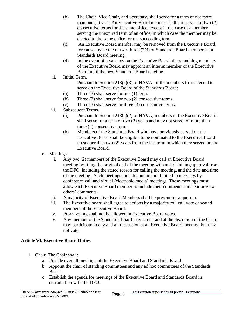- (b) The Chair, Vice Chair, and Secretary, shall serve for a term of not more than one (1) year. An Executive Board member shall not server for two (2) consecutive terms for the same office, except in the case of a member serving the unexpired term of an office, in which case the member may be elected to the same office for the succeeding term.
- (c) An Executive Board member may be removed from the Executive Board, for cause, by a vote of two-thirds (2/3) of Standards Board members at a Standards Board meeting.
- (d) In the event of a vacancy on the Executive Board, the remaining members of the Executive Board may appoint an interim member of the Executive Board until the next Standards Board meeting.
- ii. Initial Term.
	- Pursuant to Section  $213(c)(3)$  of HAVA, of the members first selected to serve on the Executive Board of the Standards Board:
	- (a) Three (3) shall serve for one (1) term.
	- (b) Three (3) shall serve for two (2) consecutive terms.
	- (c) Three (3) shall serve for three (3) consecutive terms.
- iii. Subsequent Terms.
	- (a) Pursuant to Section 213(c)(2) of HAVA, members of the Executive Board shall serve for a term of two (2) years and may not serve for more than three (3) consecutive terms.
	- (b) Members of the Standards Board who have previously served on the Executive Board shall be eligible to be nominated to the Executive Board no sooner than two (2) years from the last term in which they served on the Executive Board.
- e. Meetings.
	- i. Any two (2) members of the Executive Board may call an Executive Board meeting by filing the original call of the meeting with and obtaining approval from the DFO, including the stated reason for calling the meeting, and the date and time of the meeting. Such meetings include, but are not limited to meetings by conference call and virtual (electronic media) meetings. These meetings must allow each Executive Board member to include their comments and hear or view others' comments.
	- ii. A majority of Executive Board Members shall be present for a quorum.
	- iii. The Executive board shall agree to actions by a majority roll call vote of seated members of the Executive Board.
	- iv. Proxy voting shall not be allowed in Executive Board votes.
	- v. Any member of the Standards Board may attend and at the discretion of the Chair, may participate in any and all discussion at an Executive Board meeting, but may not vote.

# <span id="page-8-1"></span><span id="page-8-0"></span>**Article VI. Executive Board Duties**

- 1. Chair. The Chair shall:
	- a. Preside over all meetings of the Executive Board and Standards Board.
	- b. Appoint the chair of standing committees and any ad hoc committees of the Standards Board.
	- c. Establish the agenda for meetings of the Executive Board and Standards Board in consultation with the DFO.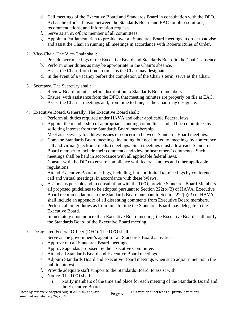- d. Call meetings of the Executive Board and Standards Board in consultation with the DFO.
- e. Act as the official liaison between the Standards Board and EAC for all resolutions, recommendations, and information requests.
- f. Serve as an *ex officio* member of all committees.
- g. Appoint a Parliamentarian to preside over all Standards Board meetings in order to advise and assist the Chair in running all meetings in accordance with Roberts Rules of Order.
- <span id="page-9-0"></span>2. Vice-Chair. The Vice-Chair shall:
	- a. Preside over meetings of the Executive Board and Standards Board in the Chair's absence.
	- b. Perform other duties as may be appropriate in the Chair's absence.
	- c. Assist the Chair, from time to time, as the Chair may designate.
	- d. In the event of a vacancy before the completion of the Chair's term, serve as the Chair.
- <span id="page-9-1"></span>3. Secretary. The Secretary shall:
	- a. Review Board minutes before distribution to Standards Board members.
	- b. Ensure, with assistance from the DFO, that meeting minutes are properly on file at EAC.
	- c. Assist the Chair at meetings and, from time to time, as the Chair may designate.
- <span id="page-9-2"></span>4. Executive Board, Generally. The Executive Board shall:
	- a. Perform all duties required under HAVA and other applicable Federal laws.
	- b. Appoint the membership of appropriate standing committees and ad hoc committees by soliciting interest from the Standards Board membership.
	- c. Meet as necessary to address issues of concern in between Standards Board meetings.
	- d. Convene Standards Board meetings, including, but not limited to, meetings by conference call and virtual (electronic media) meetings. Such meetings must allow each Standards Board member to include their comments and view or hear others' comments. Such meetings shall be held in accordance with all applicable federal laws.
	- e. Consult with the DFO to ensure compliance with federal statutes and other applicable regulations.
	- f. Attend Executive Board meetings, including, but not limited to, meetings by conference call and virtual meetings, in accordance with these bylaws.
	- g. As soon as possible and in consultation with the DFO, provide Standards Board Members all proposed guidelines to be adopted pursuant to Section 222(b)(3) of HAVA. Executive Board recommendations to the Standards Board pursuant to Section 222(b)(3) of HAVA shall include an appendix of all dissenting comments from Executive Board members.
	- h. Perform all other duties as from time to time the Standards Board may delegate to the Executive Board.
	- i. Immediately upon notice of an Executive Board meeting, the Executive Board shall notify the Standards Board of the Executive Board meeting.
- <span id="page-9-3"></span>5. Designated Federal Officer (DFO). The DFO shall:
	- a. Serve as the government's agent for all Standards Board activities.
	- b. Approve or call Standards Board meetings.
	- c. Approve agendas proposed by the Executive Committee.
	- d. Attend all Standards Board and Executive Board meetings.
	- e. Adjourn Standards Board and Executive Board meetings when such adjournment is in the public interest.
	- f. Provide adequate staff support to the Standards Board, to assist with:
	- g. Notice. The DFO shall:
		- i. Notify members of the time and place for each meeting of the Standards Board and the Executive Board.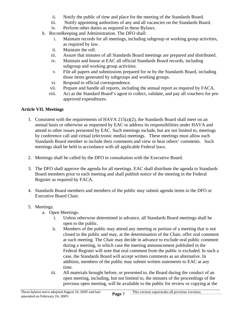- ii. Notify the public of time and place for the meeting of the Standards Board.
- iii. Notify appointing authorities of any and all vacancies on the Standards Board.
- iv. Perform other duties as required in these Bylaws.
- h. Recordkeeping and Administration. The DFO shall:
	- i. Maintain records for all meetings, including subgroup or working group activities, as required by law.
	- ii. Maintain the roll.
	- iii. Assure that minutes of all Standards Board meetings are prepared and distributed.
	- iv. Maintain and house at EAC all official Standards Board records, including subgroup and working group activities.
	- v. File all papers and submissions prepared for or by the Standards Board, including those items generated by subgroups and working groups.
	- vi. Respond to official correspondence.
	- vii. Prepare and handle all reports, including the annual report as required by FACA.
	- viii. Act as the Standard Board's agent to collect, validate, and pay all vouchers for preapproved expenditures.

### <span id="page-10-0"></span>**Article VII. Meetings**

- 1. Consistent with the requirements of HAVA 215(a)(2), the Standards Board shall meet on an annual basis or otherwise as requested by EAC to address its responsibilities under HAVA and attend to other issues presented by EAC. Such meetings include, but are not limited to, meetings by conference call and virtual (electronic media) meetings. These meetings must allow each Standards Board member to include their comments and view or hear others' comments. Such meetings shall be held in accordance with all applicable Federal laws.
- 2. Meetings shall be called by the DFO in consultation with the Executive Board.
- 3. The DFO shall approve the agenda for all meetings. EAC shall distribute the agenda to Standards Board members prior to each meeting and shall publish notice of the meeting in the Federal Register as required by FACA.
- 4. Standards Board members and members of the public may submit agenda items to the DFO or Executive Board Chair.
- 5. Meetings.
	- a. Open Meetings.
		- i. Unless otherwise determined in advance, all Standards Board meetings shall be open to the public.
		- ii. Members of the public may attend any meeting or portion of a meeting that is not closed to the public and may, at the determination of the Chair, offer oral comment at such meeting. The Chair may decide in advance to exclude oral public comment during a meeting, in which case the meeting announcement published in the Federal Register will note that oral comment from the public is excluded. In such a case, the Standards Board will accept written comments as an alternative. In addition, members of the public may submit written statements to EAC at any time.
		- iii. All materials brought before, or presented to, the Board during the conduct of an open meeting, including, but not limited to, the minutes of the proceedings of the previous open meeting, will be available to the public for review or copying at the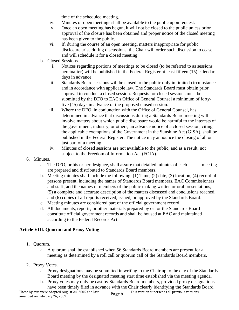time of the scheduled meeting.

- iv. Minutes of open meetings shall be available to the public upon request.
- v. Once an open meeting has begun, it will not be closed to the public unless prior approval of the closure has been obtained and proper notice of the closed meeting has been given to the public.
- vi. If, during the course of an open meeting, matters inappropriate for public disclosure arise during discussions, the Chair will order such discussion to cease and will schedule it for a closed meeting.
- b. Closed Sessions.
	- i. Notices regarding portions of meetings to be closed (to be referred to as sessions hereinafter) will be published in the Federal Register at least fifteen (15) calendar days in advance.
	- ii. Standards Board sessions will be closed to the public only in limited circumstances and in accordance with applicable law. The Standards Board must obtain prior approval to conduct a closed session. Requests for closed sessions must be submitted by the DFO to EAC's Office of General Counsel a minimum of fortyfive (45) days in advance of the proposed closed session.
	- iii. Where the DFO, in conjunction with the Office of General Counsel, has determined in advance that discussions during a Standards Board meeting will involve matters about which public disclosure would be harmful to the interests of the government, industry, or others, an advance notice of a closed session, citing the applicable exemptions of the Government in the Sunshine Act (GISA), shall be published in the Federal Register. The notice may announce the closing of all or just part of a meeting.
	- iv. Minutes of closed sessions are not available to the public, and as a result, not subject to the Freedom of Information Act (FOIA).
- 6. Minutes.
	- a. The DFO, or his or her designee, shall assure that detailed minutes of each meeting are prepared and distributed to Standards Board members.
	- b. Meeting minutes shall include the following: (1) Time, (2) date, (3) location, (4) record of persons present, including the names of Standards Board members, EAC Commissioners and staff, and the names of members of the public making written or oral presentations, (5) a complete and accurate description of the matters discussed and conclusions reached, and (6) copies of all reports received, issued, or approved by the Standards Board.
	- c. Meeting minutes are considered part of the official government record.
	- d. All documents, reports, or other materials prepared by or for the Standards Board constitute official government records and shall be housed at EAC and maintained according to the Federal Records Act.

### <span id="page-11-1"></span><span id="page-11-0"></span>**Article VIII. Quorum and Proxy Voting**

- 1. Quorum.
	- a. A quorum shall be established when 56 Standards Board members are present for a meeting as determined by a roll call or quorum call of the Standards Board members.
- <span id="page-11-2"></span>2. Proxy Votes.
	- a. Proxy designations may be submitted in writing to the Chair up to the day of the Standards Board meeting by the designated meeting start time established via the meeting agenda.
	- b. Proxy votes may only be cast by Standards Board members, provided proxy designations have been timely filed in advance with the Chair clearly identifying the Standards Board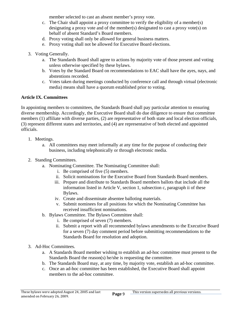member selected to cast an absent member's proxy vote.

- c. The Chair shall appoint a proxy committee to verify the eligibility of a member(s) designating a proxy vote and of the member(s) designated to cast a proxy vote(s) on behalf of absent Standard's Board members.
- d. Proxy voting shall only be allowed for general business matters.
- e. Proxy voting shall not be allowed for Executive Board elections.
- <span id="page-12-0"></span>3. Voting Generally.
	- a. The Standards Board shall agree to actions by majority vote of those present and voting unless otherwise specified by these bylaws.
	- b. Votes by the Standard Board on recommendations to EAC shall have the ayes, nays, and abstentions recorded.
	- c. Votes taken during meetings conducted by conference call and through virtual (electronic media) means shall have a quorum established prior to voting.

# <span id="page-12-1"></span>**Article IX. Committees**

In appointing members to committees, the Standards Board shall pay particular attention to ensuring diverse membership. Accordingly, the Executive Board shall do due diligence to ensure that committee members (1) affiliate with diverse parties, (2) are representative of both state and local election officials, (3) represent different states and territories, and (4) are representative of both elected and appointed officials.

- <span id="page-12-2"></span>1. Meetings.
	- a. All committees may meet informally at any time for the purpose of conducting their business, including telephonically or through electronic media.
- <span id="page-12-3"></span>2. Standing Committees.
	- a. Nominating Committee. The Nominating Committee shall:
		- i. Be comprised of five (5) members.
		- ii. Solicit nominations for the Executive Board from Standards Board members.
		- iii. Prepare and distribute to Standards Board members ballots that include all the information listed in Article V, section 1, subsection c, paragraph ii of these Bylaws.
		- iv. Create and disseminate absentee balloting materials.
		- v. Submit nominees for all positions for which the Nominating Committee has received insufficient nominations.
	- b. Bylaws Committee. The Bylaws Committee shall:
		- i. Be comprised of seven (7) members.
		- ii. Submit a report with all recommended bylaws amendments to the Executive Board for a seven (7) day comment period before submitting recommendations to the Standards Board for resolution and adoption.
- <span id="page-12-4"></span>3. Ad-Hoc Committees.
	- a. A Standards Board member wishing to establish an ad-hoc committee must present to the Standards Board the reason(s) he/she is requesting the committee.
	- b. The Standards Board may, at any time, by majority vote, establish an ad-hoc committee.
	- c. Once an ad-hoc committee has been established, the Executive Board shall appoint members to the ad-hoc committee.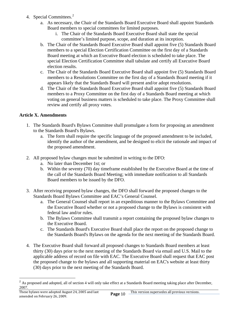- <span id="page-13-0"></span>4. Special Committees. $2$ 
	- a. As necessary, the Chair of the Standards Board Executive Board shall appoint Standards Board members to special committees for limited purposes.
		- i. The Chair of the Standards Board Executive Board shall state the special committee's limited purpose, scope, and duration at its inception.
	- b. The Chair of the Standards Board Executive Board shall appoint five (5) Standards Board members to a special Election Certification Committee on the first day of a Standards Board meeting at which an Executive Board election is scheduled to take place. The special Election Certification Committee shall tabulate and certify all Executive Board election results.
	- c. The Chair of the Standards Board Executive Board shall appoint five (5) Standards Board members to a Resolutions Committee on the first day of a Standards Board meeting if it appears likely that the Standards Board will present and/or adopt resolutions.
	- d. The Chair of the Standards Board Executive Board shall appoint five (5) Standards Board members to a Proxy Committee on the first day of a Standards Board meeting at which voting on general business matters is scheduled to take place. The Proxy Committee shall review and certify all proxy votes.

# <span id="page-13-1"></span>**Article X. Amendments**

- 1. The Standards Board's Bylaws Committee shall promulgate a form for proposing an amendment to the Standards Board's Bylaws.
	- a. The form shall require the specific language of the proposed amendment to be included, identify the author of the amendment, and be designed to elicit the rationale and impact of the proposed amendment.
- 2. All proposed bylaw changes must be submitted in writing to the DFO:
	- a. No later than December 1st; or
	- b. Within the seventy (70) day timeframe established by the Executive Board at the time of the call of the Standards Board Meeting; with immediate notification to all Standards Board members to be issued by the DFO.
- 3. After receiving proposed bylaw changes, the DFO shall forward the proposed changes to the Standards Board Bylaws Committee and EAC's General Counsel.
	- a. The General Counsel shall report in an expeditious manner to the Bylaws Committee and the Executive Board whether or not a proposed change to the Bylaws is consistent with federal law and/or rules.
	- b. The Bylaws Committee shall transmit a report containing the proposed bylaw changes to the Executive Board.
	- c. The Standards Board's Executive Board shall place the report on the proposed change to the Standards Board's Bylaws on the agenda for the next meeting of the Standards Board.
- 4. The Executive Board shall forward all proposed changes to Standards Board members at least thirty (30) days prior to the next meeting of the Standards Board via email and U.S. Mail to the applicable address of record on file with EAC. The Executive Board shall request that EAC post the proposed change to the bylaws and all supporting material on EAC's website at least thirty (30) days prior to the next meeting of the Standards Board.

<span id="page-13-2"></span>l  $2^{2}$  As proposed and adopted, all of section 4 will only take effect at a Standards Board meeting taking place after December, 2007.